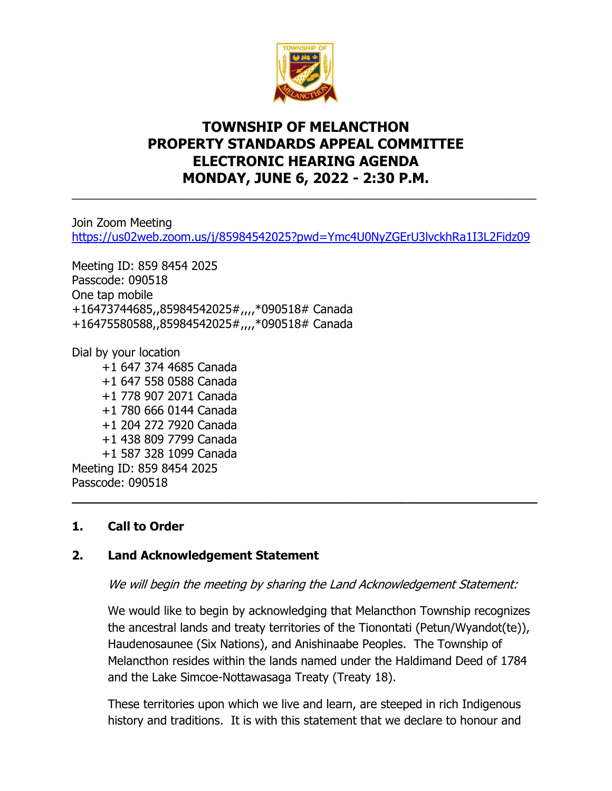

## **TOWNSHIP OF MELANCTHON PROPERTY STANDARDS APPEAL COMMITTEE ELECTRONIC HEARING AGENDA MONDAY, JUNE 6, 2022 - 2:30 P.M.**

Join Zoom Meeting <https://us02web.zoom.us/j/85984542025?pwd=Ymc4U0NyZGErU3lvckhRa1I3L2Fidz09>

\_\_\_\_\_\_\_\_\_\_\_\_\_\_\_\_\_\_\_\_\_\_\_\_\_\_\_\_\_\_\_\_\_\_\_\_\_\_\_\_\_\_\_\_\_\_\_\_\_\_\_\_\_\_\_\_\_\_\_\_\_\_\_\_\_\_\_\_\_\_\_

Meeting ID: 859 8454 2025 Passcode: 090518 One tap mobile +16473744685,,85984542025#,,,,\*090518# Canada +16475580588,,85984542025#,,,,\*090518# Canada

Dial by your location

 +1 647 374 4685 Canada +1 647 558 0588 Canada +1 778 907 2071 Canada +1 780 666 0144 Canada +1 204 272 7920 Canada +1 438 809 7799 Canada +1 587 328 1099 Canada Meeting ID: 859 8454 2025 Passcode: 090518 **\_\_\_\_\_\_\_\_\_\_\_\_\_\_\_\_\_\_\_\_\_\_\_\_\_\_\_\_\_\_\_\_\_\_\_\_\_\_\_\_\_\_\_\_\_\_\_\_\_\_\_\_\_\_\_\_\_\_\_\_\_**

## **1. Call to Order**

## **2. Land Acknowledgement Statement**

We will begin the meeting by sharing the Land Acknowledgement Statement:

We would like to begin by acknowledging that Melancthon Township recognizes the ancestral lands and treaty territories of the Tionontati (Petun/Wyandot(te)), Haudenosaunee (Six Nations), and Anishinaabe Peoples. The Township of Melancthon resides within the lands named under the Haldimand Deed of 1784 and the Lake Simcoe-Nottawasaga Treaty (Treaty 18).

These territories upon which we live and learn, are steeped in rich Indigenous history and traditions. It is with this statement that we declare to honour and